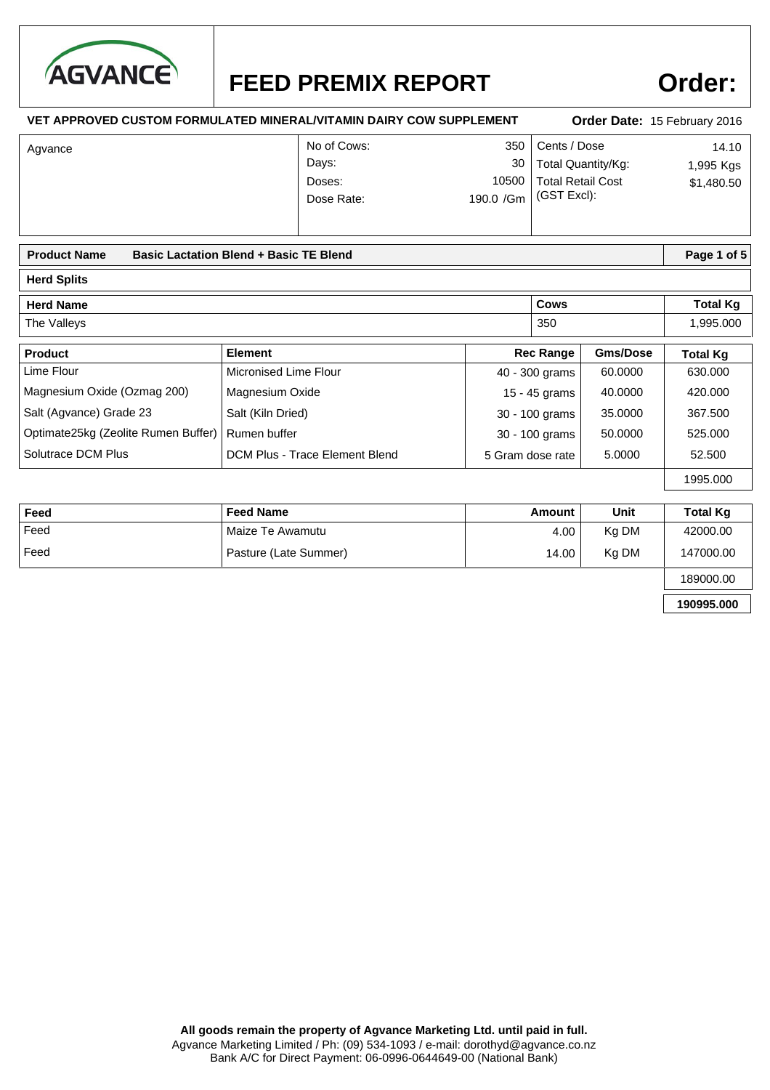

## **Order:**

| <b>VET APPROVED CUSTOM FORMULATED MINERAL/VITAMIN DAIRY COW SUPPLEMENT</b>                |                                              |                                 | Order Date: 15 February 2016                            |                    |                                  |  |
|-------------------------------------------------------------------------------------------|----------------------------------------------|---------------------------------|---------------------------------------------------------|--------------------|----------------------------------|--|
| Agvance                                                                                   | No of Cows:<br>Days:<br>Doses:<br>Dose Rate: | 350<br>30<br>10500<br>190.0 /Gm | Cents / Dose<br><b>Total Retail Cost</b><br>(GST Excl): | Total Quantity/Kg: | 14.10<br>1,995 Kgs<br>\$1,480.50 |  |
| <b>Product Name</b><br><b>Basic Lactation Blend + Basic TE Blend</b>                      |                                              |                                 |                                                         |                    | Page 1 of 5                      |  |
| <b>Herd Splits</b>                                                                        |                                              |                                 |                                                         |                    |                                  |  |
| <b>Herd Name</b>                                                                          |                                              |                                 | Cows                                                    |                    | <b>Total Kg</b>                  |  |
| The Valleys                                                                               |                                              |                                 | 350                                                     |                    | 1,995.000                        |  |
| Product                                                                                   | <b>Element</b>                               |                                 | <b>Rec Range</b>                                        | <b>Gms/Dose</b>    | <b>Total Kg</b>                  |  |
| Lime Flour                                                                                | Micronised Lime Flour                        |                                 | 40 - 300 grams                                          | 60,0000            | 630.000                          |  |
| Magnesium Oxide (Ozmag 200)                                                               | Magnesium Oxide                              |                                 | 40.0000<br>15 - 45 grams                                |                    | 420.000                          |  |
| Salt (Agvance) Grade 23                                                                   | Salt (Kiln Dried)                            |                                 | 35.0000<br>30 - 100 grams                               |                    | 367.500                          |  |
| Optimate25kg (Zeolite Rumen Buffer)<br>Rumen buffer                                       |                                              |                                 | 30 - 100 grams<br>50,0000                               |                    | 525,000                          |  |
| Solutrace DCM Plus<br><b>DCM Plus - Trace Element Blend</b><br>5.0000<br>5 Gram dose rate |                                              |                                 | 52.500                                                  |                    |                                  |  |
|                                                                                           |                                              |                                 |                                                         |                    | 1995.000                         |  |

| Feed | <b>Feed Name</b>      | Amount | Unit  | <b>Total Kg</b> |
|------|-----------------------|--------|-------|-----------------|
| Feed | Maize Te Awamutu      | 4.00   | Kg DM | 42000.00        |
| Feed | Pasture (Late Summer) | 14.00  | Kg DM | 147000.00       |
|      |                       |        |       | 189000.00       |

**190995.000**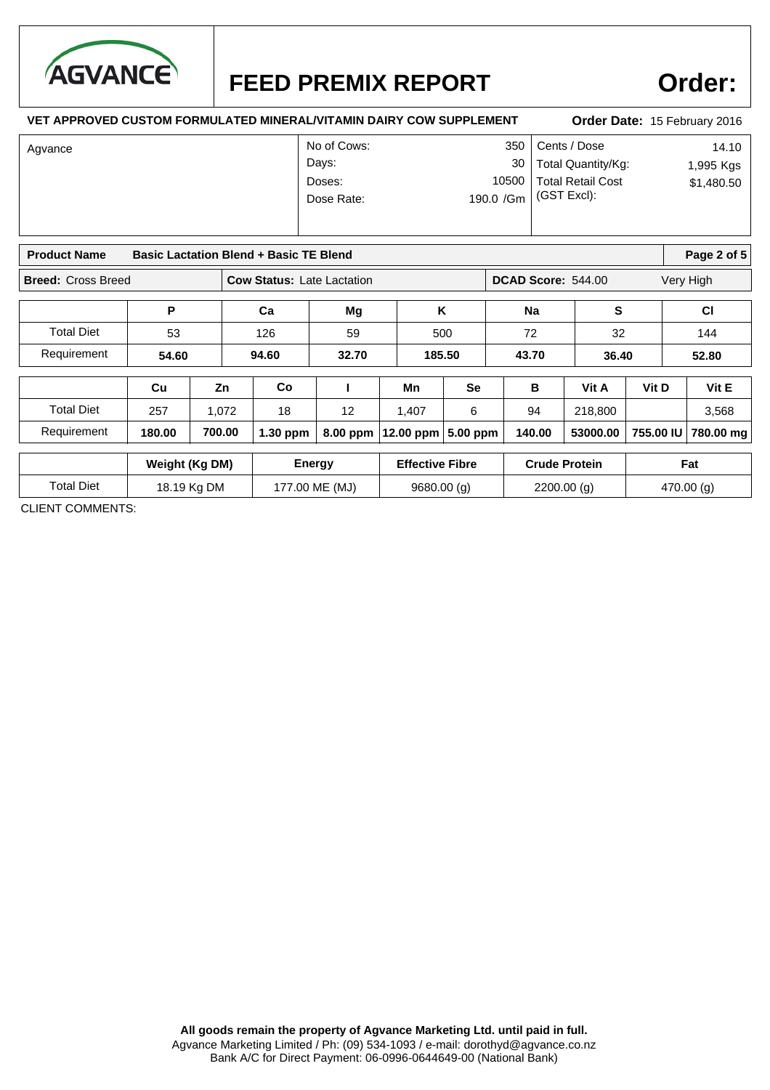

### **Order:**

### **VET APPROVED CUSTOM FORMULATED MINERAL/VITAMIN DAIRY COW SUPPLEMENT**

### **Order Date:** 15 February 2016

| Agvance | No of Cows: |           | 350   Cents / Dose        | 14.10      |
|---------|-------------|-----------|---------------------------|------------|
|         | Days:       |           | 30   Total Quantity/Kg:   | 1,995 Kgs  |
|         | Doses:      |           | 10500   Total Retail Cost | \$1,480.50 |
|         | Dose Rate:  | 190.0 /Gm | (GST Excl):               |            |
|         |             |           |                           |            |
|         |             |           |                           |            |

| <b>Basic Lactation Blend + Basic TE Blend</b><br><b>Product Name</b> |        |        |                                   |          |             |            | Page 2 of $5$      |          |           |           |
|----------------------------------------------------------------------|--------|--------|-----------------------------------|----------|-------------|------------|--------------------|----------|-----------|-----------|
| <b>Breed: Cross Breed</b>                                            |        |        | <b>Cow Status: Late Lactation</b> |          |             |            | DCAD Score: 544.00 |          |           | Very High |
|                                                                      | Р      |        | Ca                                | Mg       |             | κ          | <b>Na</b>          |          | s         | <b>CI</b> |
| <b>Total Diet</b>                                                    | 53     |        | 126                               | 59       |             | 500        | 72                 |          | 32        | 144       |
| Requirement                                                          | 54.60  |        | 94.60                             | 32.70    |             | 185.50     | 43.70              |          | 36.40     | 52.80     |
|                                                                      | Cu     | Zn     | Co                                |          | Mn          | <b>Se</b>  | в                  | Vit A    | Vit D     | Vit E     |
| <b>Total Diet</b>                                                    | 257    | 1.072  | 18                                | 12       | 1,407       | 6          | 94                 | 218,800  |           | 3,568     |
| Requirement                                                          | 180.00 | 700.00 | $1.30$ ppm                        | 8.00 ppm | $12.00$ ppm | $5.00$ ppm | 140.00             | 53000.00 | 755.00 IU | 780.00 mg |

|            | Weight (Kg DM) | Energy         | <b>Effective Fibre</b> | <b>Crude Protein</b> | Fat       |
|------------|----------------|----------------|------------------------|----------------------|-----------|
| Total Diet | 18.19 Kg DM    | 177.00 ME (MJ) | 9680.00(g)             | 2200.00(g)           | 470.00(g) |

CLIENT COMMENTS: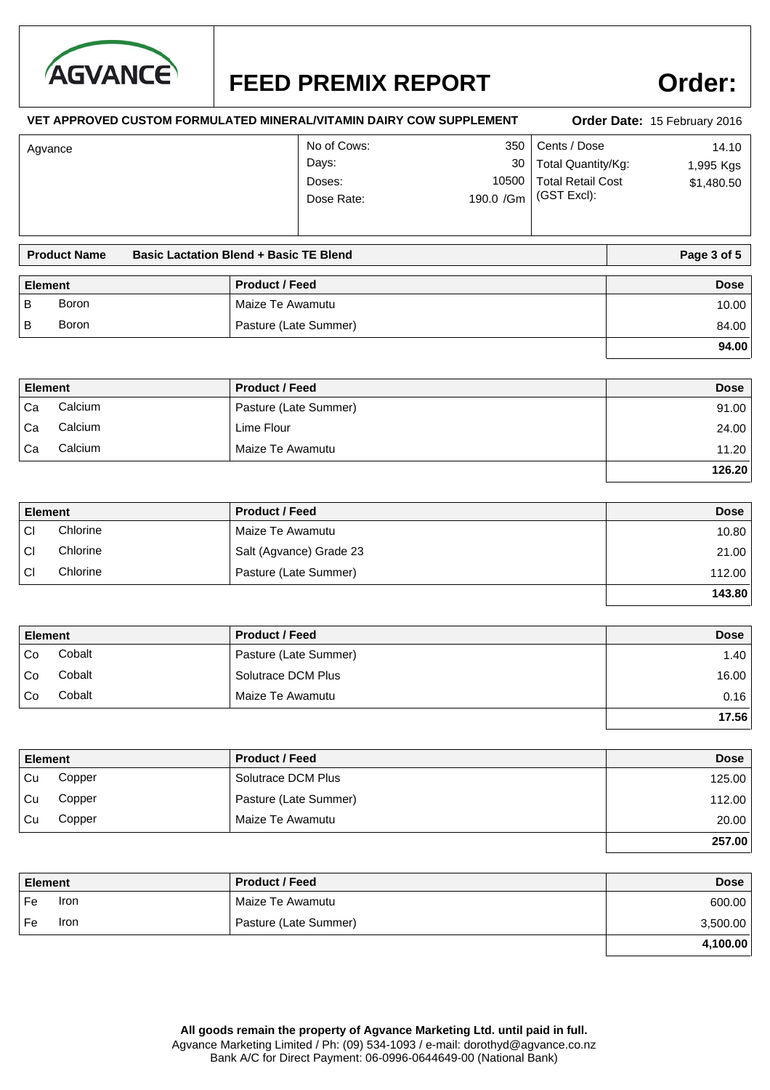

### **Order:**

#### Cents / Dose 14.10 **VET APPROVED CUSTOM FORMULATED MINERAL/VITAMIN DAIRY COW SUPPLEMENT** Total Retail Cost \$1,480.50 (GST Excl): 350 Total Quantity/Kg: No of Cows: Doses: 10500 Dose Rate: Days: 30 **Order Date:** 15 February 2016 190.0 /Gm Agvance 1,995 Kgs

|                | <b>Basic Lactation Blend + Basic TE Blend</b><br><b>Product Name</b> |  | Page 3 of 5           |             |
|----------------|----------------------------------------------------------------------|--|-----------------------|-------------|
| <b>Element</b> |                                                                      |  | <b>Product / Feed</b> | <b>Dose</b> |
| B              | Boron                                                                |  | Maize Te Awamutu      | 10.00       |
| B              | Boron                                                                |  | Pasture (Late Summer) | 84.00       |
|                |                                                                      |  |                       | 94.00       |

| <b>Element</b> |         | <b>Product / Feed</b> | <b>Dose</b> |
|----------------|---------|-----------------------|-------------|
| Ca             | Calcium | Pasture (Late Summer) | 91.00       |
| Ca             | Calcium | Lime Flour            | 24.00       |
| Ca             | Calcium | Maize Te Awamutu      | 11.20       |
|                |         |                       | 126.20      |

| <b>Element</b> |          | <b>Product / Feed</b>   | <b>Dose</b> |
|----------------|----------|-------------------------|-------------|
| CI             | Chlorine | Maize Te Awamutu        | 10.80       |
| СI             | Chlorine | Salt (Agvance) Grade 23 | 21.00       |
| СI             | Chlorine | Pasture (Late Summer)   | 112.00      |
|                |          |                         | 143.80      |

| <b>Element</b> |        | <b>Product / Feed</b> | <b>Dose</b> |
|----------------|--------|-----------------------|-------------|
| ' Co           | Cobalt | Pasture (Late Summer) | 1.40        |
| l Co           | Cobalt | Solutrace DCM Plus    | 16.00       |
| Co             | Cobalt | Maize Te Awamutu      | 0.16        |
|                |        |                       | 17.56       |

| <b>Element</b> |        | <b>Product / Feed</b> | <b>Dose</b> |
|----------------|--------|-----------------------|-------------|
| l Cu           | Copper | Solutrace DCM Plus    | 125.00      |
| Cu             | Copper | Pasture (Late Summer) | 112.00      |
| l Cu           | Copper | Maize Te Awamutu      | 20.00       |
|                |        |                       | 257.00      |

| <b>Element</b> | <b>Product / Feed</b> | <b>Dose</b> |
|----------------|-----------------------|-------------|
| Fe<br>Iron     | Maize Te Awamutu      | 600.00      |
| Fe<br>Iron     | Pasture (Late Summer) | 3,500.00    |
|                |                       | 4,100.00    |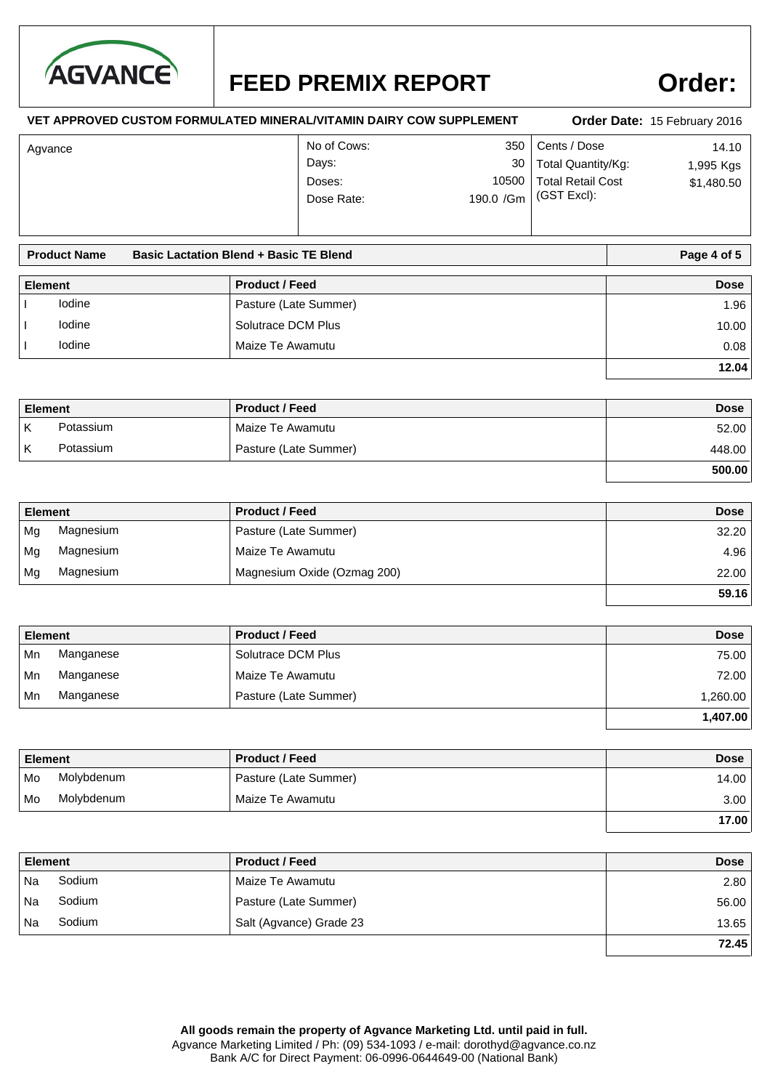

**VET APPROVED CUSTOM FORMULATED MINERAL/VITAMIN DAIRY COW SUPPLEMENT**

# **Order:**

#### Cents / Dose 14.10 Total Retail Cost \$1,480.50 (GST Excl): 350 Total Quantity/Kg: No of Cows: Doses: 10500 Dose Rate: Days: 30 **Order Date:** 15 February 2016 190.0 /Gm Agvance 1,995 Kgs

|                | <b>Basic Lactation Blend + Basic TE Blend</b><br><b>Product Name</b> |                       | Page 4 of 5 |
|----------------|----------------------------------------------------------------------|-----------------------|-------------|
| <b>Element</b> |                                                                      | <b>Product / Feed</b> | <b>Dose</b> |
|                | lodine                                                               | Pasture (Late Summer) | 1.96        |
|                | lodine                                                               | Solutrace DCM Plus    | 10.00       |
|                | lodine                                                               | Maize Te Awamutu      | 0.08        |
|                |                                                                      |                       | 12.04       |

| <b>Element</b> |           | <b>Product / Feed</b> | <b>Dose</b> |
|----------------|-----------|-----------------------|-------------|
|                | Potassium | Maize Te Awamutu      | 52.00       |
| К              | Potassium | Pasture (Late Summer) | 448.00      |
|                |           |                       | 500.00      |

| <b>Element</b> |           | <b>Product / Feed</b>       | <b>Dose</b> |
|----------------|-----------|-----------------------------|-------------|
| Mg             | Magnesium | Pasture (Late Summer)       | 32.20       |
| Ma             | Magnesium | Maize Te Awamutu            | 4.96        |
| ∣ Mg           | Magnesium | Magnesium Oxide (Ozmag 200) | 22.00       |
|                |           |                             | 59.16       |

| <b>Element</b> |           | <b>Product / Feed</b> | <b>Dose</b> |
|----------------|-----------|-----------------------|-------------|
| ∣Mn            | Manganese | Solutrace DCM Plus    | 75.00       |
| l Mn           | Manganese | Maize Te Awamutu      | 72.00       |
| l Mn           | Manganese | Pasture (Late Summer) | 1,260.00    |
|                |           |                       | 1,407.00    |

| Element |            | <b>Product / Feed</b> | <b>Dose</b> |
|---------|------------|-----------------------|-------------|
| l Mo    | Molybdenum | Pasture (Late Summer) | 14.00       |
| l Mo    | Molybdenum | Maize Te Awamutu      | 3.00        |
|         |            |                       | 17.00       |

| <b>Element</b> |        | <b>Product / Feed</b>   | <b>Dose</b> |
|----------------|--------|-------------------------|-------------|
| Na             | Sodium | Maize Te Awamutu        | 2.80        |
| Na             | Sodium | Pasture (Late Summer)   | 56.00       |
| Na             | Sodium | Salt (Agvance) Grade 23 | 13.65       |
|                |        |                         | 72.45       |